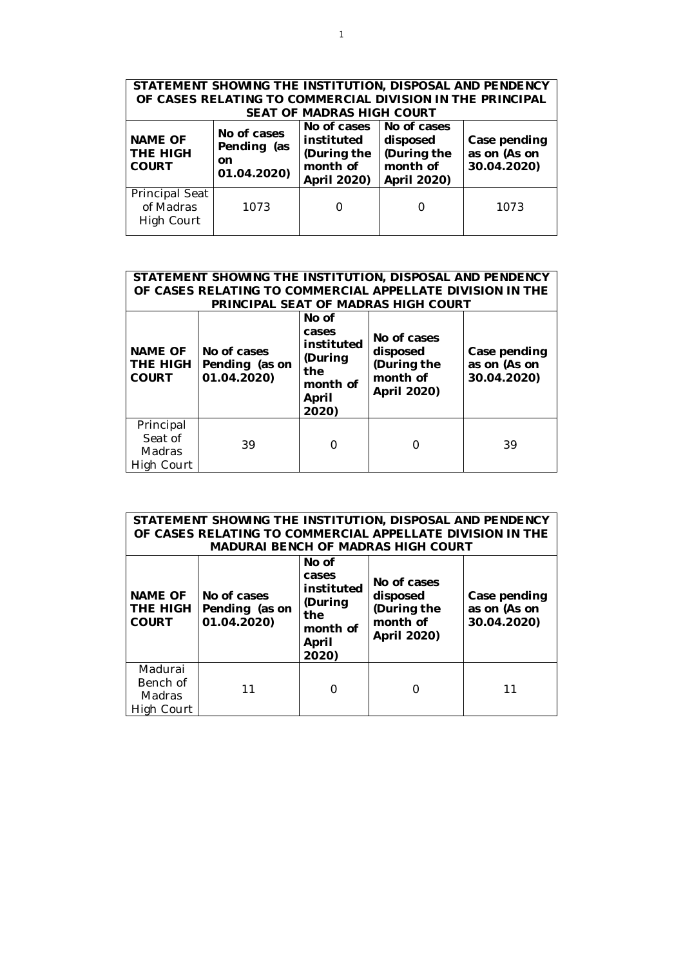| STATEMENT SHOWING THE INSTITUTION, DISPOSAL AND PENDENCY<br>OF CASES RELATING TO COMMERCIAL DIVISION IN THE PRINCIPAL<br><b>SEAT OF MADRAS HIGH COURT</b> |                                             |  |  |      |  |  |  |
|-----------------------------------------------------------------------------------------------------------------------------------------------------------|---------------------------------------------|--|--|------|--|--|--|
| <b>NAME OF</b><br>THE HIGH<br><b>COURT</b>                                                                                                                | Case pending<br>as on (As on<br>30.04.2020) |  |  |      |  |  |  |
| Principal Seat<br>of Madras<br>High Court                                                                                                                 | 1073                                        |  |  | 1073 |  |  |  |

| STATEMENT SHOWING THE INSTITUTION, DISPOSAL AND PENDENCY<br>OF CASES RELATING TO COMMERCIAL APPELLATE DIVISION IN THE<br>PRINCIPAL SEAT OF MADRAS HIGH COURT |                                              |                                                                   |                                             |    |  |  |
|--------------------------------------------------------------------------------------------------------------------------------------------------------------|----------------------------------------------|-------------------------------------------------------------------|---------------------------------------------|----|--|--|
| <b>NAME OF</b><br>THE HIGH<br><b>COURT</b>                                                                                                                   | No of cases<br>Pending (as on<br>01.04.2020) | No of cases<br>disposed<br>(During the<br>month of<br>April 2020) | Case pending<br>as on (As on<br>30.04.2020) |    |  |  |
| Principal<br>Seat of<br>Madras<br>High Court                                                                                                                 | 39                                           |                                                                   |                                             | 39 |  |  |

| STATEMENT SHOWING THE INSTITUTION, DISPOSAL AND PENDENCY<br>OF CASES RELATING TO COMMERCIAL APPELLATE DIVISION IN THE<br><b>MADURAI BENCH OF MADRAS HIGH COURT</b> |                                              |                                                                              |                                                                   |                                             |  |  |
|--------------------------------------------------------------------------------------------------------------------------------------------------------------------|----------------------------------------------|------------------------------------------------------------------------------|-------------------------------------------------------------------|---------------------------------------------|--|--|
| <b>NAME OF</b><br>THE HIGH<br><b>COURT</b>                                                                                                                         | No of cases<br>Pending (as on<br>01.04.2020) | No of<br>cases<br>instituted<br>(During<br>the<br>month of<br>April<br>2020) | No of cases<br>disposed<br>(During the<br>month of<br>April 2020) | Case pending<br>as on (As on<br>30.04.2020) |  |  |
| Madurai<br>Bench of<br><b>Madras</b><br>High Court                                                                                                                 | 11                                           |                                                                              |                                                                   | 11                                          |  |  |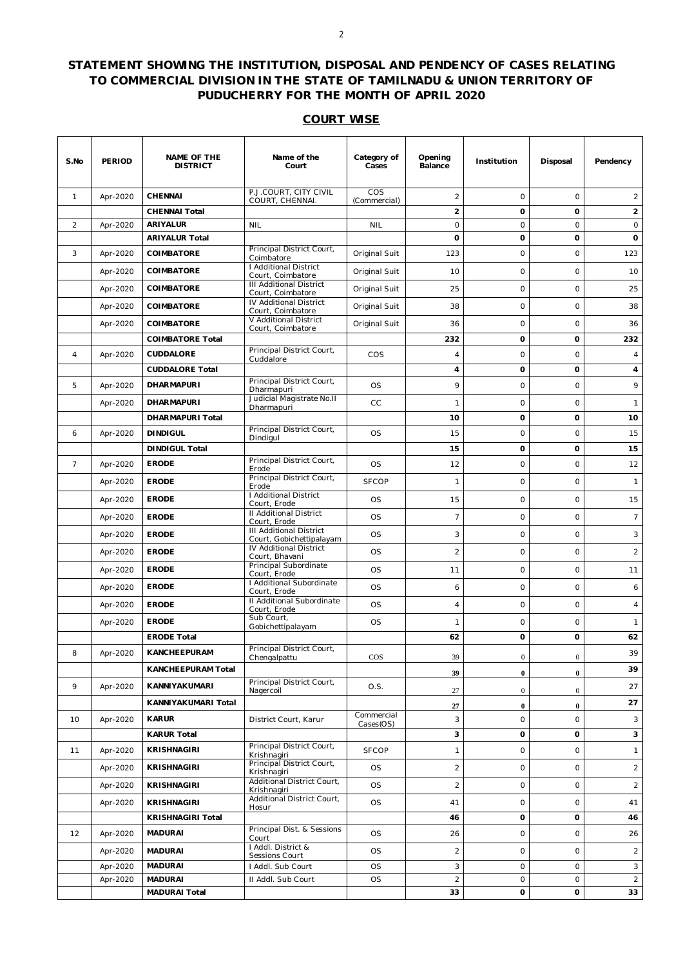## **STATEMENT SHOWING THE INSTITUTION, DISPOSAL AND PENDENCY OF CASES RELATING TO COMMERCIAL DIVISION IN THE STATE OF TAMILNADU & UNION TERRITORY OF PUDUCHERRY FOR THE MONTH OF APRIL 2020**

## **COURT WISE**

| S.No           | PERIOD   | <b>NAME OF THE</b><br><b>DISTRICT</b> | Name of the<br>Court                                                       | Category of<br>Cases       | Opening<br>Balance | Institution    | Disposal       | Pendency       |
|----------------|----------|---------------------------------------|----------------------------------------------------------------------------|----------------------------|--------------------|----------------|----------------|----------------|
| $\mathbf{1}$   | Apr-2020 | <b>CHENNAI</b>                        | P.J.COURT, CITY CIVIL<br>COURT, CHENNAI.                                   | <b>COS</b><br>(Commercial) | $\overline{2}$     | $\circ$        | $\circ$        | 2              |
|                |          | <b>CHENNAI Total</b>                  |                                                                            |                            | $\overline{2}$     | 0              | $\mathbf 0$    | $\overline{2}$ |
| 2              | Apr-2020 | <b>ARIYALUR</b>                       | <b>NIL</b>                                                                 | <b>NIL</b>                 | $\mathsf O$        | $\circ$        | $\circ$        | $\circ$        |
|                |          | <b>ARIYALUR Total</b>                 |                                                                            |                            | 0                  | 0              | 0              | 0              |
| 3              | Apr-2020 | COIMBATORE                            | Principal District Court,<br>Coimbatore                                    | Original Suit              | 123                | $\mathsf{O}$   | $\circ$        | 123            |
|                | Apr-2020 | <b>COIMBATORE</b>                     | <b>I Additional District</b><br>Court, Coimbatore                          | Original Suit              | 10                 | $\mathsf{O}$   | $\circ$        | 10             |
|                | Apr-2020 | <b>COIMBATORE</b>                     | <b>III Additional District</b><br>Court, Coimbatore                        | Original Suit              | 25                 | $\mathsf{O}$   | $\circ$        | 25             |
|                | Apr-2020 | COIMBATORE                            | IV Additional District<br>Court, Coimbatore                                | Original Suit              | 38                 | $\circ$        | $\circ$        | 38             |
|                | Apr-2020 | COIMBATORE                            | V Additional District<br>Court, Coimbatore                                 | Original Suit              | 36                 | $\circ$        | $\circ$        | 36             |
|                |          | <b>COIMBATORE Total</b>               |                                                                            |                            | 232                | 0              | $\mathbf 0$    | 232            |
| $\overline{4}$ | Apr-2020 | <b>CUDDALORE</b>                      | Principal District Court,<br>Cuddalore                                     | <b>COS</b>                 | $\overline{4}$     | $\mathsf{O}$   | $\circ$        | $\overline{4}$ |
|                |          | <b>CUDDALORE Total</b>                |                                                                            |                            | 4                  | 0              | $\mathbf 0$    | 4              |
| 5              | Apr-2020 | <b>DHARMAPURI</b>                     | Principal District Court,<br>Dharmapuri                                    | <b>OS</b>                  | 9                  | $\mathsf{O}$   | $\circ$        | 9              |
|                | Apr-2020 | <b>DHARMAPURI</b>                     | Judicial Magistrate No.II                                                  | CC                         | 1                  | 0              | $\circ$        | $\mathbf{1}$   |
|                |          | DHARMAPURI Total                      | Dharmapuri                                                                 |                            | 10                 | 0              | $\mathbf 0$    | 10             |
| 6              | Apr-2020 | <b>DINDIGUL</b>                       | Principal District Court,<br>Dindigul                                      | <b>OS</b>                  | 15                 | $\mathsf{O}$   | $\circ$        | 15             |
|                |          | <b>DINDIGUL Total</b>                 |                                                                            |                            | 15                 | 0              | $\mathbf 0$    | 15             |
| $\overline{7}$ | Apr-2020 | <b>ERODE</b>                          | Principal District Court,<br>Erode                                         | <b>OS</b>                  | 12                 | $\mathsf{O}$   | $\circ$        | 12             |
|                | Apr-2020 | <b>ERODE</b>                          | Principal District Court,<br>Erode                                         | <b>SFCOP</b>               | $\mathbf{1}$       | $\overline{O}$ | $\circ$        | $\mathbf{1}$   |
|                | Apr-2020 | <b>ERODE</b>                          | I Additional District<br>Court, Erode                                      | <b>OS</b>                  | 15                 | $\circ$        | $\circ$        | 15             |
|                | Apr-2020 | <b>ERODE</b>                          | <b>II Additional District</b>                                              | <b>OS</b>                  | $\overline{7}$     | $\mathsf{O}$   | $\circ$        | $\overline{7}$ |
|                | Apr-2020 | <b>ERODE</b>                          | Court, Erode<br><b>III Additional District</b><br>Court, Gobichettipalayam | <b>OS</b>                  | 3                  | $\circ$        | $\circ$        | 3              |
|                | Apr-2020 | <b>ERODE</b>                          | <b>IV Additional District</b><br>Court, Bhavani                            | <b>OS</b>                  | $\overline{2}$     | $\overline{O}$ | $\circ$        | $\overline{2}$ |
|                | Apr-2020 | <b>ERODE</b>                          | Principal Subordinate<br>Court, Erode                                      | <b>OS</b>                  | 11                 | $\mathsf{O}$   | $\circ$        | 11             |
|                | Apr-2020 | <b>ERODE</b>                          | I Additional Subordinate<br>Court, Erode                                   | <b>OS</b>                  | 6                  | $\mathsf{O}$   | $\circ$        | 6              |
|                | Apr-2020 | <b>ERODE</b>                          | II Additional Subordinate<br>Court, Erode                                  | <b>OS</b>                  | $\overline{4}$     | $\circ$        | $\circ$        | $\overline{4}$ |
|                | Apr-2020 | <b>ERODE</b>                          | Sub Court.<br>Gobichettipalayam                                            | <b>OS</b>                  | 1                  | $\mathsf{O}$   | $\circ$        | $\mathbf{1}$   |
|                |          | <b>ERODE Total</b>                    |                                                                            |                            | 62                 | 0              | $\mathbf 0$    | 62             |
| 8              | Apr-2020 | KANCHEEPURAM                          | Principal District Court,<br>Chengalpattu                                  | $\cos$                     | 39                 | $\overline{0}$ | $\overline{0}$ | 39             |
|                |          | <b>KANCHEEPURAM Total</b>             |                                                                            |                            | 39                 | $\bf{0}$       | $\bf{0}$       | 39             |
| 9              | Apr-2020 | <b>KANNIYAKUMARI</b>                  | Principal District Court,<br>Nagercoil                                     | O.S.                       | 27                 | $\mathbf{0}$   | $\mathbf{0}$   | 27             |
|                |          | KANNIYAKUMARI Total                   |                                                                            |                            | 27                 | $\bf{0}$       | $\bf{0}$       | 27             |
| 10             | Apr-2020 | <b>KARUR</b>                          | District Court, Karur                                                      | Commercial<br>Cases(OS)    | 3                  | 0              | $\circ$        | 3              |
|                |          | <b>KARUR Total</b>                    |                                                                            |                            | 3                  | 0              | 0              | 3              |
| 11             | Apr-2020 | <b>KRISHNAGIRI</b>                    | Principal District Court,<br>Krishnagiri                                   | <b>SFCOP</b>               | $\mathbf{1}$       | $\circ$        | $\circ$        | $\mathbf{1}$   |
|                | Apr-2020 | <b>KRISHNAGIRI</b>                    | Principal District Court,<br>Krishnagiri                                   | <b>OS</b>                  | $\sqrt{2}$         | 0              | $\circ$        | $\overline{2}$ |
|                | Apr-2020 | <b>KRISHNAGIRI</b>                    | Additional District Court,<br>Krishnagiri                                  | <b>OS</b>                  | $\overline{2}$     | $\circ$        | $\circ$        | $\overline{2}$ |
|                | Apr-2020 | <b>KRISHNAGIRI</b>                    | Additional District Court,<br>Hosur                                        | <b>OS</b>                  | 41                 | 0              | $\circ$        | 41             |
|                |          | <b>KRISHNAGIRI Total</b>              |                                                                            |                            | 46                 | 0              | 0              | 46             |
| 12             | Apr-2020 | <b>MADURAI</b>                        | Principal Dist. & Sessions<br>Court                                        | <b>OS</b>                  | 26                 | $\circ$        | $\circ$        | 26             |
|                | Apr-2020 | <b>MADURAI</b>                        | I Addl. District &<br>Sessions Court                                       | <b>OS</b>                  | $\mathbf 2$        | 0              | $\circ$        | 2              |
|                | Apr-2020 | <b>MADURAI</b>                        | I Addl. Sub Court                                                          | <b>OS</b>                  | 3                  | 0              | $\circ$        | 3              |
|                | Apr-2020 | <b>MADURAI</b>                        | II Addl. Sub Court                                                         | <b>OS</b>                  | $\overline{2}$     | $\circ$        | $\circ$        | $\overline{2}$ |
|                |          | <b>MADURAI Total</b>                  |                                                                            |                            | 33                 | 0              | 0              | 33             |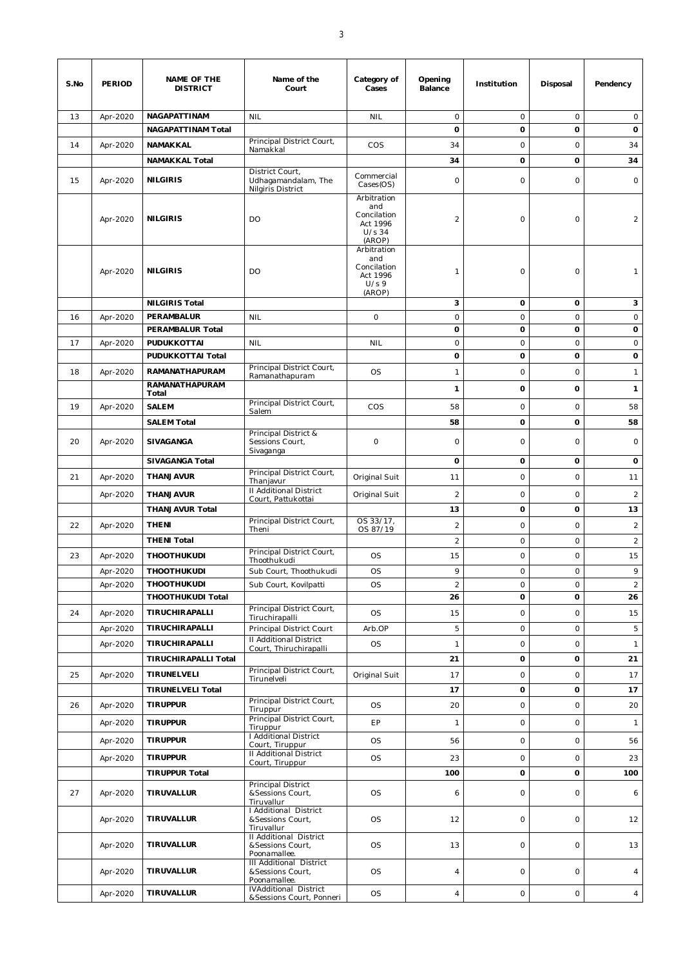| S.No | <b>PERIOD</b> | NAME OF THE<br><b>DISTRICT</b>          | Name of the<br>Court                                                     | Category of<br>Cases                                                | Opening<br>Balance | Institution | Disposal    | Pendency       |
|------|---------------|-----------------------------------------|--------------------------------------------------------------------------|---------------------------------------------------------------------|--------------------|-------------|-------------|----------------|
| 13   | Apr-2020      | NAGAPATTINAM                            | <b>NIL</b>                                                               | <b>NIL</b>                                                          | $\circ$            | $\circ$     | $\circ$     | $\circ$        |
|      |               | <b>NAGAPATTINAM Total</b>               | Principal District Court,                                                |                                                                     | 0                  | 0           | $\mathbf 0$ | 0              |
| 14   | Apr-2020      | NAMAKKAL                                | Namakkal                                                                 | COS                                                                 | 34                 | 0           | $\circ$     | 34             |
|      |               | <b>NAMAKKAL Total</b>                   | District Court,                                                          |                                                                     | 34                 | 0           | $\mathbf 0$ | 34             |
| 15   | Apr-2020      | <b>NILGIRIS</b>                         | Udhagamandalam, The<br>Nilgiris District                                 | Commercial<br>$\text{Cases}(\text{OS})$                             | 0                  | 0           | $\circ$     | $\circ$        |
|      | Apr-2020      | <b>NILGIRIS</b>                         | DO                                                                       | Arbitration<br>and<br>Concilation<br>Act 1996<br>$U/s$ 34<br>(AROP) | $\overline{c}$     | $\circ$     | $\circ$     | $\overline{2}$ |
|      | Apr-2020      | <b>NILGIRIS</b>                         | DO                                                                       | Arbitration<br>and<br>Concilation<br>Act 1996<br>U/s9<br>(AROP)     | $\mathbf{1}$       | 0           | $\circ$     | $\mathbf{1}$   |
|      |               | <b>NILGIRIS Total</b>                   |                                                                          |                                                                     | 3                  | 0           | 0           | 3              |
| 16   | Apr-2020      | PERAMBALUR                              | <b>NIL</b>                                                               | $\circ$                                                             | $\mathsf O$        | $\circ$     | $\mathsf O$ | $\circ$        |
|      |               | PERAMBALUR Total                        |                                                                          |                                                                     | 0                  | 0           | 0           | 0              |
| 17   | Apr-2020      | PUDUKKOTTAI<br><b>PUDUKKOTTAI Total</b> | <b>NIL</b>                                                               | <b>NIL</b>                                                          | $\circ$            | $\circ$     | $\circ$     | $\circ$        |
|      |               |                                         | Principal District Court,                                                |                                                                     | 0                  | 0           | 0           | 0              |
| 18   | Apr-2020      | RAMANATHAPURAM<br><b>RAMANATHAPURAM</b> | Ramanathapuram                                                           | <b>OS</b>                                                           | $\mathbf{1}$       | 0           | $\circ$     | $\mathbf{1}$   |
|      |               | Total                                   |                                                                          |                                                                     | $\mathbf{1}$       | 0           | $\mathbf 0$ | $\mathbf{1}$   |
| 19   | Apr-2020      | <b>SALEM</b>                            | Principal District Court,<br>Salem                                       | COS                                                                 | 58                 | 0           | $\circ$     | 58             |
|      |               | <b>SALEM Total</b>                      |                                                                          |                                                                     | 58                 | 0           | $\mathbf 0$ | 58             |
| 20   | Apr-2020      | SIVAGANGA                               | Principal District &<br>Sessions Court,<br>Sivaganga                     | $\circ$                                                             | 0                  | 0           | $\circ$     | $\circ$        |
|      |               | <b>SIVAGANGA Total</b>                  |                                                                          |                                                                     | 0                  | 0           | 0           | 0              |
| 21   | Apr-2020      | <b>THANJAVUR</b>                        | Principal District Court,<br>Thanjavur                                   | Original Suit                                                       | 11                 | $\circ$     | $\circ$     | 11             |
|      | Apr-2020      | THANJAVUR                               | II Additional District<br>Court, Pattukottai                             | Original Suit                                                       | $\overline{c}$     | 0           | $\circ$     | $\overline{2}$ |
|      |               | <b>THANJAVUR Total</b>                  |                                                                          |                                                                     | 13                 | 0           | 0           | 13             |
| 22   | Apr-2020      | <b>THENI</b>                            | Principal District Court,<br>Theni                                       | OS 33/17,<br>OS 87/19                                               | $\overline{c}$     | $\circ$     | $\circ$     | $\overline{c}$ |
|      |               | <b>THENI Total</b>                      |                                                                          |                                                                     | $\mathbf 2$        | $\circ$     | $\circ$     | $\overline{c}$ |
| 23   | Apr-2020      | <b>THOOTHUKUDI</b>                      | Principal District Court,<br>Thoothukudi                                 | <b>OS</b>                                                           | 15                 | 0           | $\circ$     | 15             |
|      | Apr-2020      | <b>THOOTHUKUDI</b>                      | Sub Court, Thoothukudi                                                   | <b>OS</b>                                                           | 9                  | 0           | $\circ$     | 9              |
|      | Apr-2020      | <b>THOOTHUKUDI</b>                      | Sub Court, Kovilpatti                                                    | <b>OS</b>                                                           | $\overline{a}$     | $\circ$     | $\circ$     | $\overline{2}$ |
|      |               | THOOTHUKUDI Total                       |                                                                          |                                                                     | 26                 | 0           | 0           | 26             |
| 24   | Apr-2020      | TIRUCHIRAPALLI                          | Principal District Court,<br>Tiruchirapalli                              | <b>OS</b>                                                           | 15                 | O           | $\circ$     | 15             |
|      | Apr-2020      | TIRUCHIRAPALLI                          | Principal District Court                                                 | Arb.OP                                                              | 5                  | $\circ$     | $\circ$     | 5              |
|      | Apr-2020      | TIRUCHIRAPALLI                          | II Additional District<br>Court, Thiruchirapalli                         | <b>OS</b>                                                           | $\mathbf{1}$       | 0           | $\mathsf O$ | $\mathbf{1}$   |
|      |               | <b>TIRUCHIRAPALLI Total</b>             |                                                                          |                                                                     | 21                 | 0           | 0           | 21             |
| 25   | Apr-2020      | TIRUNELVELI                             | Principal District Court,<br>Tirunelveli                                 | Original Suit                                                       | 17                 | 0           | $\mathsf O$ | 17             |
|      |               | <b>TIRUNELVELI Total</b>                |                                                                          |                                                                     | 17                 | 0           | 0           | 17             |
| 26   | Apr-2020      | <b>TIRUPPUR</b>                         | Principal District Court,<br>Tiruppur                                    | <b>OS</b>                                                           | 20                 | 0           | $\mathsf O$ | 20             |
|      | Apr-2020      | <b>TIRUPPUR</b>                         | Principal District Court,<br>Tiruppur                                    | EP                                                                  | $\mathbf{1}$       | O           | $\circ$     | $\mathbf{1}$   |
|      | Apr-2020      | <b>TIRUPPUR</b>                         | I Additional District                                                    | <b>OS</b>                                                           | 56                 | 0           | $\circ$     | 56             |
|      | Apr-2020      | <b>TIRUPPUR</b>                         | Court, Tiruppur<br>II Additional District                                | <b>OS</b>                                                           | 23                 | O           | $\circ$     | 23             |
|      |               | <b>TIRUPPUR Total</b>                   | Court, Tiruppur                                                          |                                                                     | 100                | 0           | 0           | 100            |
| 27   | Apr-2020      | TIRUVALLUR                              | Principal District<br>&Sessions Court,                                   | <b>OS</b>                                                           | 6                  | O           | $\circ$     | 6              |
|      | Apr-2020      | TIRUVALLUR                              | Tiruvallur<br><b>I Additional District</b><br>&Sessions Court,           | <b>OS</b>                                                           | 12                 | 0           | $\circ$     | 12             |
|      | Apr-2020      | TIRUVALLUR                              | Tiruvallur<br>Il Additional District<br>&Sessions Court,<br>Poonamallee. | <b>OS</b>                                                           | 13                 | 0           | $\circ$     | 13             |
|      | Apr-2020      | TIRUVALLUR                              | III Additional District<br>&Sessions Court,<br>Poonamallee.              | <b>OS</b>                                                           | 4                  | 0           | $\circ$     | $\overline{4}$ |
|      | Apr-2020      | TIRUVALLUR                              | <b>IVAdditional District</b><br>&Sessions Court, Ponneri                 | <b>OS</b>                                                           | $\overline{4}$     | O           | $\circ$     | $\overline{4}$ |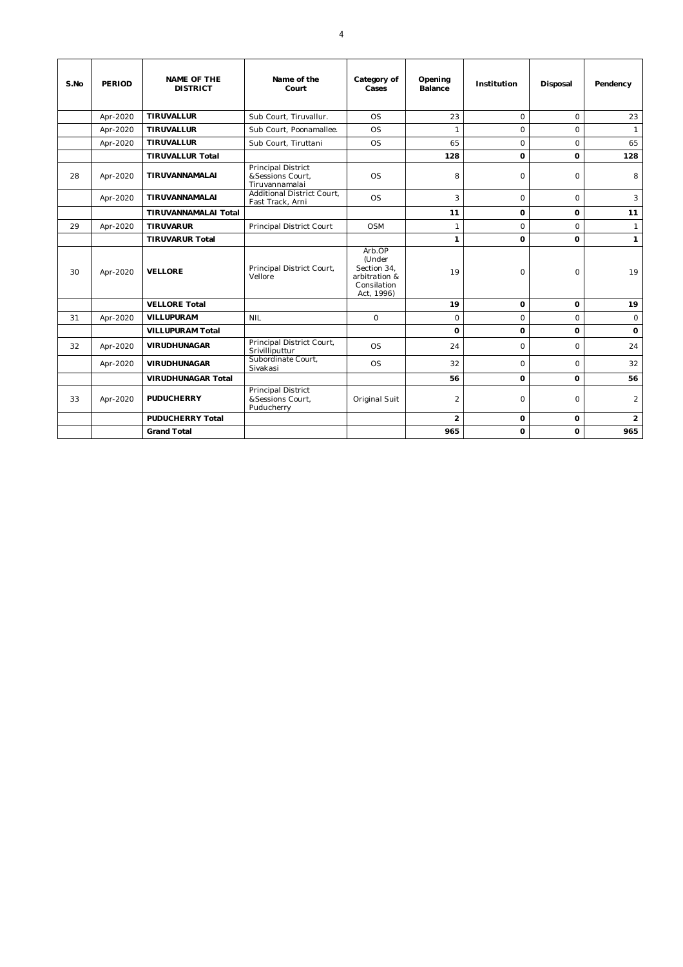| S.No | <b>PERIOD</b> | <b>NAME OF THE</b><br><b>DISTRICT</b> | Name of the<br>Court                                     | Category of<br>Cases                                                          | Opening<br><b>Balance</b> | Institution | Disposal    | Pendency       |
|------|---------------|---------------------------------------|----------------------------------------------------------|-------------------------------------------------------------------------------|---------------------------|-------------|-------------|----------------|
|      | Apr-2020      | <b>TIRUVALLUR</b>                     | Sub Court, Tiruvallur.                                   | O <sub>S</sub>                                                                | 23                        | $\Omega$    | $\circ$     | 23             |
|      | Apr-2020      | <b>TIRUVALLUR</b>                     | Sub Court, Poonamallee.                                  | <b>OS</b>                                                                     | $\mathbf{1}$              | $\Omega$    | $\circ$     | $\mathbf{1}$   |
|      | Apr-2020      | <b>TIRUVALLUR</b>                     | Sub Court, Tiruttani                                     | O <sub>S</sub>                                                                | 65                        | $\Omega$    | $\Omega$    | 65             |
|      |               | <b>TIRUVALLUR Total</b>               |                                                          |                                                                               | 128                       | $\Omega$    | $\mathbf 0$ | 128            |
| 28   | Apr-2020      | TIRUVANNAMALAI                        | Principal District<br>&Sessions Court.<br>Tiruvannamalai | <b>OS</b>                                                                     | 8                         | $\circ$     | $\circ$     | 8              |
|      | Apr-2020      | TIRUVANNAMALAI                        | Additional District Court.<br>Fast Track, Arni           | OS                                                                            | 3                         | $\Omega$    | $\Omega$    | 3              |
|      |               | <b>TIRUVANNAMALAI Total</b>           |                                                          |                                                                               | 11                        | o           | $\mathbf 0$ | 11             |
| 29   | Apr-2020      | <b>TIRUVARUR</b>                      | Principal District Court                                 | OSM                                                                           | $\mathbf{1}$              | $\Omega$    | $\Omega$    | $\mathbf{1}$   |
|      |               | <b>TIRUVARUR Total</b>                |                                                          |                                                                               | $\mathbf{1}$              | 0           | $\Omega$    | $\mathbf{1}$   |
| 30   | Apr-2020      | <b>VELLORE</b>                        | Principal District Court,<br>Vellore                     | Arb.OP<br>(Under<br>Section 34.<br>arbitration &<br>Consilation<br>Act, 1996) | 19                        | $\Omega$    | $\mathbf 0$ | 19             |
|      |               | <b>VELLORE Total</b>                  |                                                          |                                                                               | 19                        | $\Omega$    | $\mathbf 0$ | 19             |
| 31   | Apr-2020      | <b>VILLUPURAM</b>                     | <b>NIL</b>                                               | $\Omega$                                                                      | $\Omega$                  | $\Omega$    | $\Omega$    | $\circ$        |
|      |               | <b>VILLUPURAM Total</b>               |                                                          |                                                                               | $\Omega$                  | o           | $\Omega$    | $\Omega$       |
| 32   | Apr-2020      | <b>VIRUDHUNAGAR</b>                   | Principal District Court,<br>Srivilliputtur              | <b>OS</b>                                                                     | 24                        | 0           | $\circ$     | 24             |
|      | Apr-2020      | <b>VIRUDHUNAGAR</b>                   | Subordinate Court,<br>Sivakasi                           | <b>OS</b>                                                                     | 32                        | $\circ$     | $\circ$     | 32             |
|      |               | <b>VIRUDHUNAGAR Total</b>             |                                                          |                                                                               | 56                        | 0           | $\Omega$    | 56             |
| 33   | Apr-2020      | <b>PUDUCHERRY</b>                     | Principal District<br>&Sessions Court,<br>Puducherry     | Original Suit                                                                 | $\overline{2}$            | $\circ$     | $\circ$     | 2              |
|      |               | <b>PUDUCHERRY Total</b>               |                                                          |                                                                               | $\overline{2}$            | 0           | 0           | $\overline{2}$ |
|      |               | <b>Grand Total</b>                    |                                                          |                                                                               | 965                       | $\Omega$    | $\Omega$    | 965            |